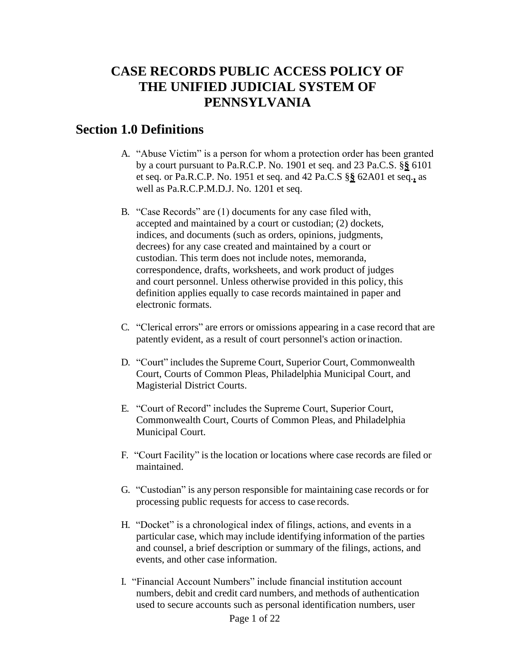## **CASE RECORDS PUBLIC ACCESS POLICY OF THE UNIFIED JUDICIAL SYSTEM OF PENNSYLVANIA**

### **Section 1.0 Definitions**

- A. "Abuse Victim" is a person for whom a protection order has been granted by a court pursuant to Pa.R.C.P. No. 1901 et seq. and 23 Pa.C.S. §**§** 6101 et seq. or Pa.R.C.P. No. 1951 et seq. and 42 Pa.C.S §**§** 62A01 et seq.**,** as well as Pa.R.C.P.M.D.J. No. 1201 et seq.
- B. "Case Records" are (1) documents for any case filed with, accepted and maintained by a court or custodian; (2) dockets, indices, and documents (such as orders, opinions, judgments, decrees) for any case created and maintained by a court or custodian. This term does not include notes, memoranda, correspondence, drafts, worksheets, and work product of judges and court personnel. Unless otherwise provided in this policy, this definition applies equally to case records maintained in paper and electronic formats.
- C. "Clerical errors" are errors or omissions appearing in a case record that are patently evident, as a result of court personnel's action orinaction.
- D. "Court" includes the Supreme Court, Superior Court, Commonwealth Court, Courts of Common Pleas, Philadelphia Municipal Court, and Magisterial District Courts.
- E. "Court of Record" includes the Supreme Court, Superior Court, Commonwealth Court, Courts of Common Pleas, and Philadelphia Municipal Court.
- F. "Court Facility" is the location or locations where case records are filed or maintained.
- G. "Custodian" is any person responsible for maintaining case records or for processing public requests for access to case records.
- H. "Docket" is a chronological index of filings, actions, and events in a particular case, which may include identifying information of the parties and counsel, a brief description or summary of the filings, actions, and events, and other case information.
- I. "Financial Account Numbers" include financial institution account numbers, debit and credit card numbers, and methods of authentication used to secure accounts such as personal identification numbers, user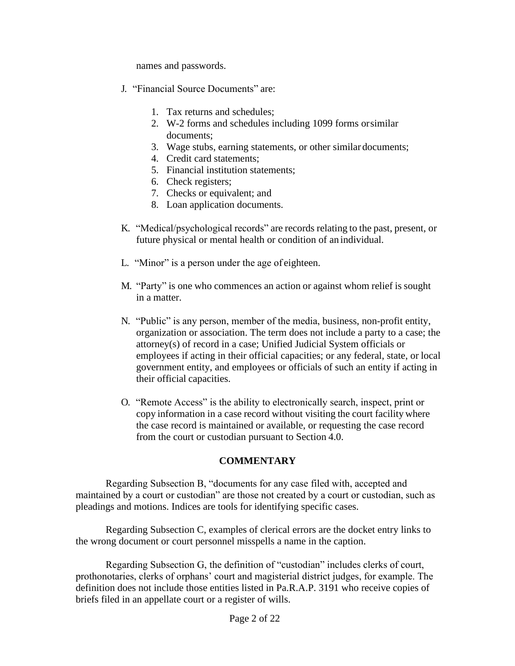names and passwords.

- J. "Financial Source Documents" are:
	- 1. Tax returns and schedules;
	- 2. W-2 forms and schedules including 1099 forms orsimilar documents;
	- 3. Wage stubs, earning statements, or other similar documents;
	- 4. Credit card statements;
	- 5. Financial institution statements;
	- 6. Check registers;
	- 7. Checks or equivalent; and
	- 8. Loan application documents.
- K. "Medical/psychological records" are records relating to the past, present, or future physical or mental health or condition of an individual.
- L. "Minor" is a person under the age of eighteen.
- M. "Party" is one who commences an action or against whom relief is sought in a matter.
- N. "Public" is any person, member of the media, business, non-profit entity, organization or association. The term does not include a party to a case; the attorney(s) of record in a case; Unified Judicial System officials or employees if acting in their official capacities; or any federal, state, or local government entity, and employees or officials of such an entity if acting in their official capacities.
- O. "Remote Access" is the ability to electronically search, inspect, print or copy information in a case record without visiting the court facility where the case record is maintained or available, or requesting the case record from the court or custodian pursuant to Section 4.0.

#### **COMMENTARY**

Regarding Subsection B, "documents for any case filed with, accepted and maintained by a court or custodian" are those not created by a court or custodian, such as pleadings and motions. Indices are tools for identifying specific cases.

Regarding Subsection C, examples of clerical errors are the docket entry links to the wrong document or court personnel misspells a name in the caption.

Regarding Subsection G, the definition of "custodian" includes clerks of court, prothonotaries, clerks of orphans' court and magisterial district judges, for example. The definition does not include those entities listed in Pa.R.A.P. 3191 who receive copies of briefs filed in an appellate court or a register of wills.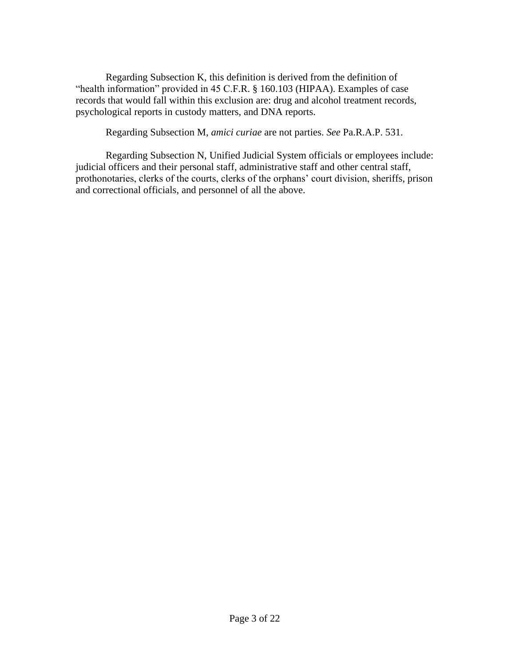Regarding Subsection K, this definition is derived from the definition of "health information" provided in 45 C.F.R. § 160.103 (HIPAA). Examples of case records that would fall within this exclusion are: drug and alcohol treatment records, psychological reports in custody matters, and DNA reports.

Regarding Subsection M, *amici curiae* are not parties. *See* Pa.R.A.P. 531.

Regarding Subsection N, Unified Judicial System officials or employees include: judicial officers and their personal staff, administrative staff and other central staff, prothonotaries, clerks of the courts, clerks of the orphans' court division, sheriffs, prison and correctional officials, and personnel of all the above.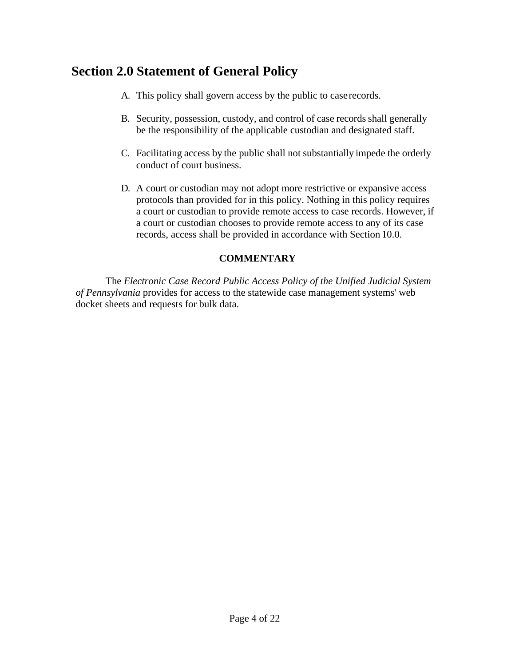## **Section 2.0 Statement of General Policy**

- A. This policy shall govern access by the public to caserecords.
- B. Security, possession, custody, and control of case records shall generally be the responsibility of the applicable custodian and designated staff.
- C. Facilitating access by the public shall not substantially impede the orderly conduct of court business.
- D. A court or custodian may not adopt more restrictive or expansive access protocols than provided for in this policy. Nothing in this policy requires a court or custodian to provide remote access to case records. However, if a court or custodian chooses to provide remote access to any of its case records, access shall be provided in accordance with Section 10.0.

#### **COMMENTARY**

The *Electronic Case Record Public Access Policy of the Unified Judicial System of Pennsylvania* provides for access to the statewide case management systems' web docket sheets and requests for bulk data.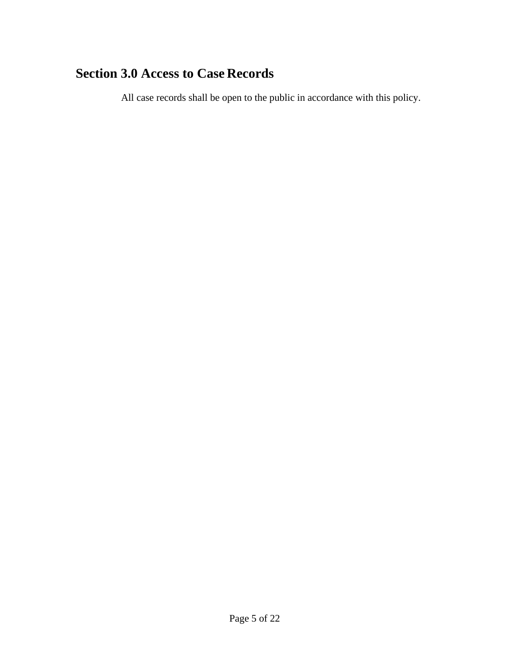# **Section 3.0 Access to Case Records**

All case records shall be open to the public in accordance with this policy.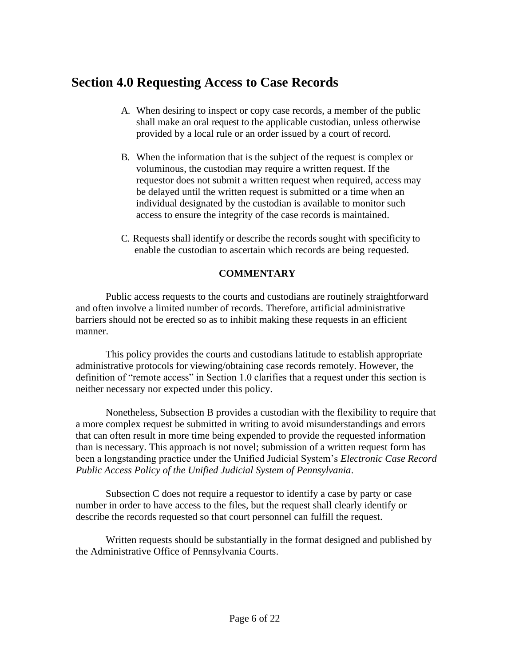### **Section 4.0 Requesting Access to Case Records**

- A. When desiring to inspect or copy case records, a member of the public shall make an oral request to the applicable custodian, unless otherwise provided by a local rule or an order issued by a court of record.
- B. When the information that is the subject of the request is complex or voluminous, the custodian may require a written request. If the requestor does not submit a written request when required, access may be delayed until the written request is submitted or a time when an individual designated by the custodian is available to monitor such access to ensure the integrity of the case records is maintained.
- C. Requests shall identify or describe the records sought with specificity to enable the custodian to ascertain which records are being requested.

### **COMMENTARY**

Public access requests to the courts and custodians are routinely straightforward and often involve a limited number of records. Therefore, artificial administrative barriers should not be erected so as to inhibit making these requests in an efficient manner.

This policy provides the courts and custodians latitude to establish appropriate administrative protocols for viewing/obtaining case records remotely. However, the definition of "remote access" in Section 1.0 clarifies that a request under this section is neither necessary nor expected under this policy.

Nonetheless, Subsection B provides a custodian with the flexibility to require that a more complex request be submitted in writing to avoid misunderstandings and errors that can often result in more time being expended to provide the requested information than is necessary. This approach is not novel; submission of a written request form has been a longstanding practice under the Unified Judicial System's *Electronic Case Record Public Access Policy of the Unified Judicial System of Pennsylvania*.

Subsection C does not require a requestor to identify a case by party or case number in order to have access to the files, but the request shall clearly identify or describe the records requested so that court personnel can fulfill the request.

Written requests should be substantially in the format designed and published by the Administrative Office of Pennsylvania Courts.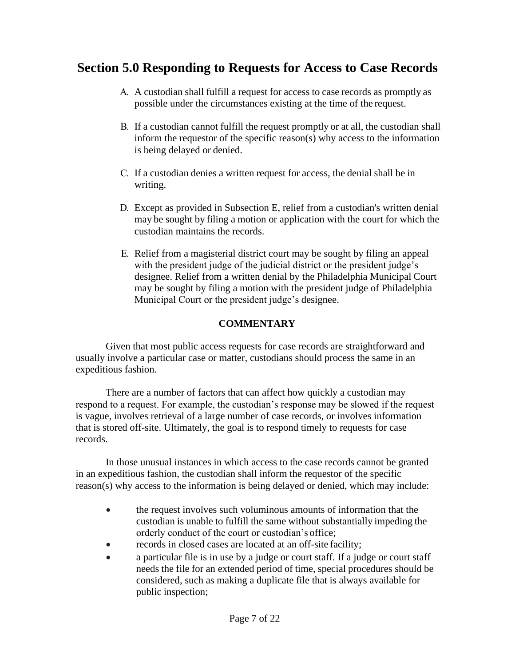### **Section 5.0 Responding to Requests for Access to Case Records**

- A. A custodian shall fulfill a request for access to case records as promptly as possible under the circumstances existing at the time of the request.
- B. If a custodian cannot fulfill the request promptly or at all, the custodian shall inform the requestor of the specific reason(s) why access to the information is being delayed or denied.
- C. If a custodian denies a written request for access, the denial shall be in writing.
- D. Except as provided in Subsection E, relief from a custodian's written denial may be sought by filing a motion or application with the court for which the custodian maintains the records.
- E. Relief from a magisterial district court may be sought by filing an appeal with the president judge of the judicial district or the president judge's designee. Relief from a written denial by the Philadelphia Municipal Court may be sought by filing a motion with the president judge of Philadelphia Municipal Court or the president judge's designee.

### **COMMENTARY**

Given that most public access requests for case records are straightforward and usually involve a particular case or matter, custodians should process the same in an expeditious fashion.

There are a number of factors that can affect how quickly a custodian may respond to a request. For example, the custodian's response may be slowed if the request is vague, involves retrieval of a large number of case records, or involves information that is stored off-site. Ultimately, the goal is to respond timely to requests for case records.

In those unusual instances in which access to the case records cannot be granted in an expeditious fashion, the custodian shall inform the requestor of the specific reason(s) why access to the information is being delayed or denied, which may include:

- the request involves such voluminous amounts of information that the custodian is unable to fulfill the same without substantially impeding the orderly conduct of the court or custodian's office;
- records in closed cases are located at an off-site facility;
- a particular file is in use by a judge or court staff. If a judge or court staff needs the file for an extended period of time, special procedures should be considered, such as making a duplicate file that is always available for public inspection;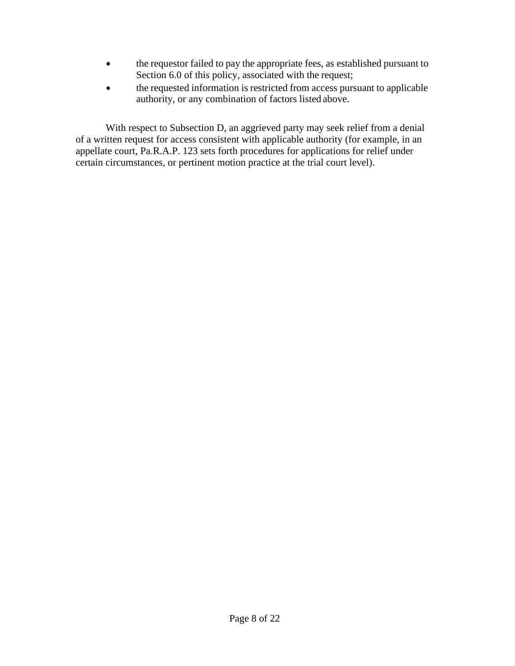- the requestor failed to pay the appropriate fees, as established pursuant to Section 6.0 of this policy, associated with the request;
- the requested information is restricted from access pursuant to applicable authority, or any combination of factors listed above.

With respect to Subsection D, an aggrieved party may seek relief from a denial of a written request for access consistent with applicable authority (for example, in an appellate court, Pa.R.A.P. 123 sets forth procedures for applications for relief under certain circumstances, or pertinent motion practice at the trial court level).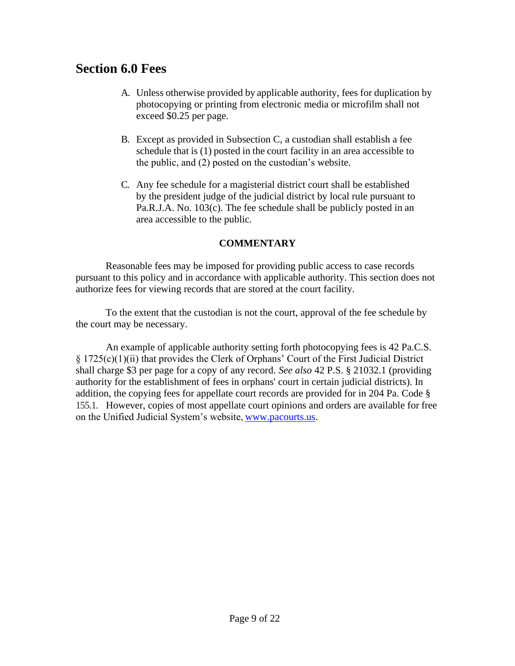### **Section 6.0 Fees**

- A. Unless otherwise provided by applicable authority, fees for duplication by photocopying or printing from electronic media or microfilm shall not exceed \$0.25 per page.
- B. Except as provided in Subsection C, a custodian shall establish a fee schedule that is (1) posted in the court facility in an area accessible to the public, and (2) posted on the custodian's website.
- C. Any fee schedule for a magisterial district court shall be established by the president judge of the judicial district by local rule pursuant to Pa.R.J.A. No. 103(c). The fee schedule shall be publicly posted in an area accessible to the public.

#### **COMMENTARY**

Reasonable fees may be imposed for providing public access to case records pursuant to this policy and in accordance with applicable authority. This section does not authorize fees for viewing records that are stored at the court facility.

To the extent that the custodian is not the court, approval of the fee schedule by the court may be necessary.

An example of applicable authority setting forth photocopying fees is 42 Pa.C.S. § 1725(c)(1)(ii) that provides the Clerk of Orphans' Court of the First Judicial District shall charge \$3 per page for a copy of any record. *See also* 42 P.S. § 21032.1 (providing authority for the establishment of fees in orphans' court in certain judicial districts). In addition, the copying fees for appellate court records are provided for in 204 Pa. Code § 155.1. However, copies of most appellate court opinions and orders are available for free on the Unified Judicial System's website, [www.pacourts.us.](http://www.pacourts.us/)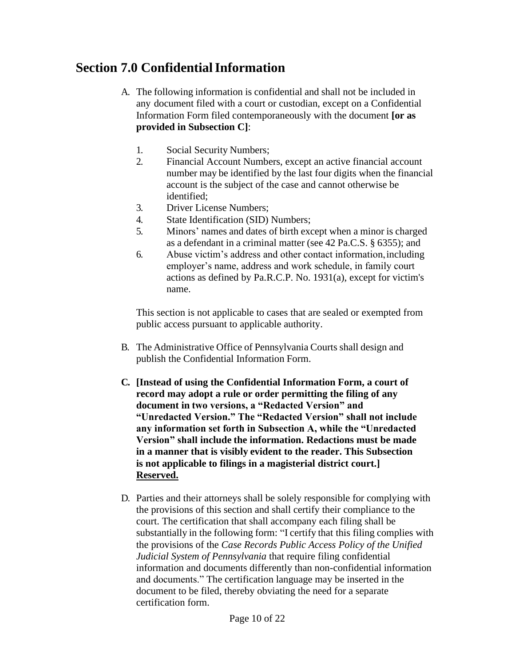## **Section 7.0 Confidential Information**

- A. The following information is confidential and shall not be included in any document filed with a court or custodian, except on a Confidential Information Form filed contemporaneously with the document **[or as provided in Subsection C]**:
	- 1. Social Security Numbers;
	- 2. Financial Account Numbers, except an active financial account number may be identified by the last four digits when the financial account is the subject of the case and cannot otherwise be identified;
	- 3. Driver License Numbers;
	- 4. State Identification (SID) Numbers;
	- 5. Minors' names and dates of birth except when a minor is charged as a defendant in a criminal matter (see 42 Pa.C.S. § 6355); and
	- 6. Abuse victim's address and other contact information,including employer's name, address and work schedule, in family court actions as defined by Pa.R.C.P. No. 1931(a), except for victim's name.

This section is not applicable to cases that are sealed or exempted from public access pursuant to applicable authority.

- B. The Administrative Office of Pennsylvania Courts shall design and publish the Confidential Information Form.
- **C. [Instead of using the Confidential Information Form, a court of record may adopt a rule or order permitting the filing of any document in two versions, a "Redacted Version" and "Unredacted Version." The "Redacted Version" shall not include any information set forth in Subsection A, while the "Unredacted Version" shall include the information. Redactions must be made in a manner that is visibly evident to the reader. This Subsection is not applicable to filings in a magisterial district court.] Reserved.**
- D. Parties and their attorneys shall be solely responsible for complying with the provisions of this section and shall certify their compliance to the court. The certification that shall accompany each filing shall be substantially in the following form: "I certify that this filing complies with the provisions of the *Case Records Public Access Policy of the Unified Judicial System of Pennsylvania* that require filing confidential information and documents differently than non-confidential information and documents." The certification language may be inserted in the document to be filed, thereby obviating the need for a separate certification form.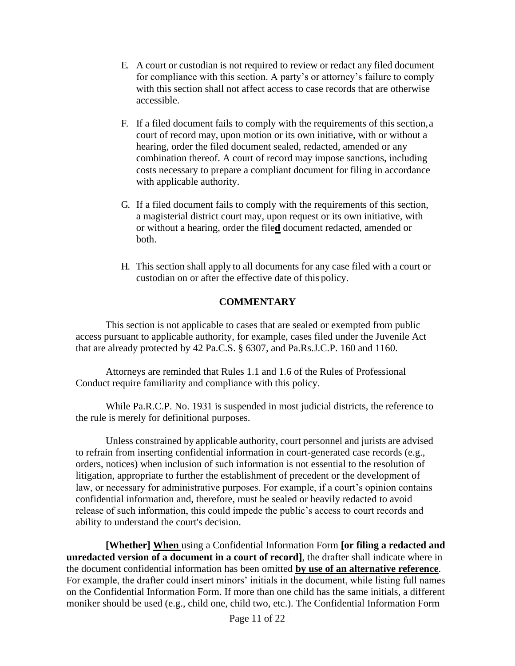- E. A court or custodian is not required to review or redact any filed document for compliance with this section. A party's or attorney's failure to comply with this section shall not affect access to case records that are otherwise accessible.
- F. If a filed document fails to comply with the requirements of this section,a court of record may, upon motion or its own initiative, with or without a hearing, order the filed document sealed, redacted, amended or any combination thereof. A court of record may impose sanctions, including costs necessary to prepare a compliant document for filing in accordance with applicable authority.
- G. If a filed document fails to comply with the requirements of this section, a magisterial district court may, upon request or its own initiative, with or without a hearing, order the file**d** document redacted, amended or both.
- H. This section shall apply to all documents for any case filed with a court or custodian on or after the effective date of this policy.

#### **COMMENTARY**

This section is not applicable to cases that are sealed or exempted from public access pursuant to applicable authority, for example, cases filed under the Juvenile Act that are already protected by 42 Pa.C.S. § 6307, and Pa.Rs.J.C.P. 160 and 1160.

Attorneys are reminded that Rules 1.1 and 1.6 of the Rules of Professional Conduct require familiarity and compliance with this policy.

While Pa.R.C.P. No. 1931 is suspended in most judicial districts, the reference to the rule is merely for definitional purposes.

Unless constrained by applicable authority, court personnel and jurists are advised to refrain from inserting confidential information in court-generated case records (e.g., orders, notices) when inclusion of such information is not essential to the resolution of litigation, appropriate to further the establishment of precedent or the development of law, or necessary for administrative purposes. For example, if a court's opinion contains confidential information and, therefore, must be sealed or heavily redacted to avoid release of such information, this could impede the public's access to court records and ability to understand the court's decision.

**[Whether] When** using a Confidential Information Form **[or filing a redacted and unredacted version of a document in a court of record]**, the drafter shall indicate where in the document confidential information has been omitted **by use of an alternative reference**. For example, the drafter could insert minors' initials in the document, while listing full names on the Confidential Information Form. If more than one child has the same initials, a different moniker should be used (e.g., child one, child two, etc.). The Confidential Information Form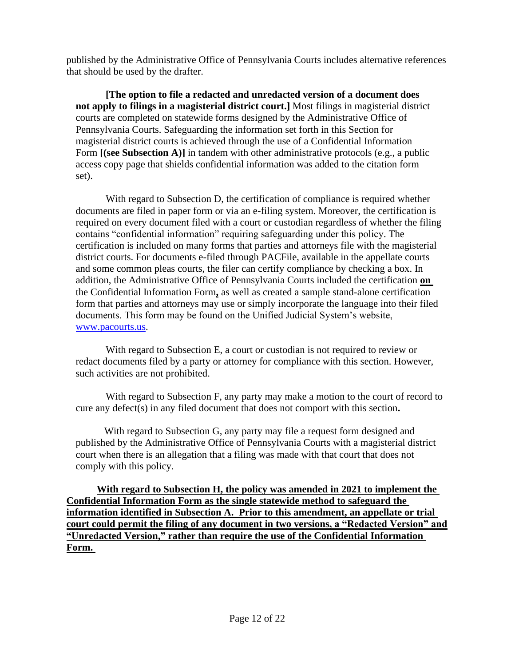published by the Administrative Office of Pennsylvania Courts includes alternative references that should be used by the drafter.

**[The option to file a redacted and unredacted version of a document does not apply to filings in a magisterial district court.]** Most filings in magisterial district courts are completed on statewide forms designed by the Administrative Office of Pennsylvania Courts. Safeguarding the information set forth in this Section for magisterial district courts is achieved through the use of a Confidential Information Form **[(see Subsection A)]** in tandem with other administrative protocols (e.g., a public access copy page that shields confidential information was added to the citation form set).

With regard to Subsection D, the certification of compliance is required whether documents are filed in paper form or via an e-filing system. Moreover, the certification is required on every document filed with a court or custodian regardless of whether the filing contains "confidential information" requiring safeguarding under this policy. The certification is included on many forms that parties and attorneys file with the magisterial district courts. For documents e-filed through PACFile, available in the appellate courts and some common pleas courts, the filer can certify compliance by checking a box. In addition, the Administrative Office of Pennsylvania Courts included the certification **on**  the Confidential Information Form**,** as well as created a sample stand-alone certification form that parties and attorneys may use or simply incorporate the language into their filed documents. This form may be found on the Unified Judicial System's website, [www.pacourts.us.](http://www.pacourts.us/)

With regard to Subsection E, a court or custodian is not required to review or redact documents filed by a party or attorney for compliance with this section. However, such activities are not prohibited.

With regard to Subsection F, any party may make a motion to the court of record to cure any defect(s) in any filed document that does not comport with this section**.**

With regard to Subsection G, any party may file a request form designed and published by the Administrative Office of Pennsylvania Courts with a magisterial district court when there is an allegation that a filing was made with that court that does not comply with this policy.

**With regard to Subsection H, the policy was amended in 2021 to implement the Confidential Information Form as the single statewide method to safeguard the information identified in Subsection A. Prior to this amendment, an appellate or trial court could permit the filing of any document in two versions, a "Redacted Version" and "Unredacted Version," rather than require the use of the Confidential Information Form.**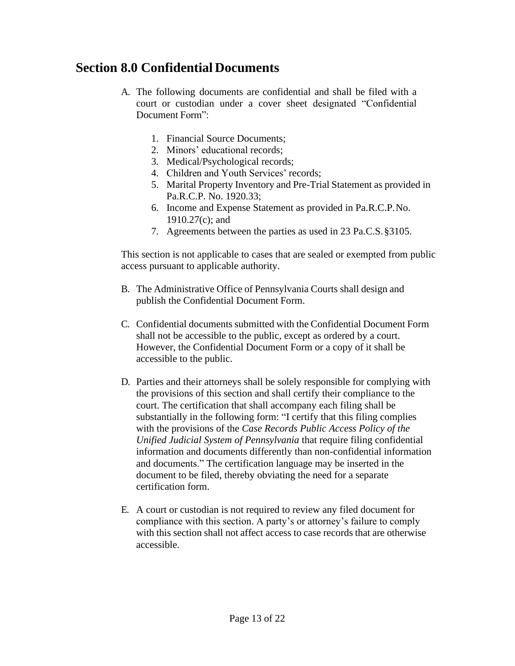### **Section 8.0 Confidential Documents**

- A. The following documents are confidential and shall be filed with a court or custodian under a cover sheet designated "Confidential Document Form":
	- 1. Financial Source Documents;
	- 2. Minors' educational records;
	- 3. Medical/Psychological records;
	- 4. Children and Youth Services' records;
	- 5. Marital Property Inventory and Pre-Trial Statement as provided in Pa.R.C.P. No. 1920.33;
	- 6. Income and Expense Statement as provided in Pa.R.C.P.No. 1910.27(c); and
	- 7. Agreements between the parties as used in 23 Pa.C.S.§3105.

This section is not applicable to cases that are sealed or exempted from public access pursuant to applicable authority.

- B. The Administrative Office of Pennsylvania Courts shall design and publish the Confidential Document Form.
- C. Confidential documents submitted with the Confidential Document Form shall not be accessible to the public, except as ordered by a court. However, the Confidential Document Form or a copy of it shall be accessible to the public.
- D. Parties and their attorneys shall be solely responsible for complying with the provisions of this section and shall certify their compliance to the court. The certification that shall accompany each filing shall be substantially in the following form: "I certify that this filing complies with the provisions of the *Case Records Public Access Policy of the Unified Judicial System of Pennsylvania* that require filing confidential information and documents differently than non-confidential information and documents." The certification language may be inserted in the document to be filed, thereby obviating the need for a separate certification form.
- E. A court or custodian is not required to review any filed document for compliance with this section. A party's or attorney's failure to comply with this section shall not affect access to case records that are otherwise accessible.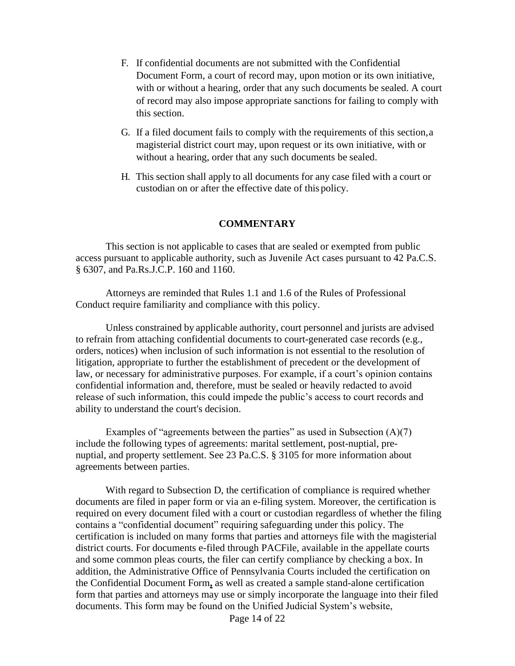- F. If confidential documents are not submitted with the Confidential Document Form, a court of record may, upon motion or its own initiative, with or without a hearing, order that any such documents be sealed. A court of record may also impose appropriate sanctions for failing to comply with this section.
- G. If a filed document fails to comply with the requirements of this section,a magisterial district court may, upon request or its own initiative, with or without a hearing, order that any such documents be sealed.
- H. This section shall apply to all documents for any case filed with a court or custodian on or after the effective date of this policy.

#### **COMMENTARY**

This section is not applicable to cases that are sealed or exempted from public access pursuant to applicable authority, such as Juvenile Act cases pursuant to 42 Pa.C.S. § 6307, and Pa.Rs.J.C.P. 160 and 1160.

Attorneys are reminded that Rules 1.1 and 1.6 of the Rules of Professional Conduct require familiarity and compliance with this policy.

Unless constrained by applicable authority, court personnel and jurists are advised to refrain from attaching confidential documents to court-generated case records (e.g., orders, notices) when inclusion of such information is not essential to the resolution of litigation, appropriate to further the establishment of precedent or the development of law, or necessary for administrative purposes. For example, if a court's opinion contains confidential information and, therefore, must be sealed or heavily redacted to avoid release of such information, this could impede the public's access to court records and ability to understand the court's decision.

Examples of "agreements between the parties" as used in Subsection  $(A)(7)$ include the following types of agreements: marital settlement, post-nuptial, prenuptial, and property settlement. See 23 Pa.C.S. § 3105 for more information about agreements between parties.

With regard to Subsection D, the certification of compliance is required whether documents are filed in paper form or via an e-filing system. Moreover, the certification is required on every document filed with a court or custodian regardless of whether the filing contains a "confidential document" requiring safeguarding under this policy. The certification is included on many forms that parties and attorneys file with the magisterial district courts. For documents e-filed through PACFile, available in the appellate courts and some common pleas courts, the filer can certify compliance by checking a box. In addition, the Administrative Office of Pennsylvania Courts included the certification on the Confidential Document Form**,** as well as created a sample stand-alone certification form that parties and attorneys may use or simply incorporate the language into their filed documents. This form may be found on the Unified Judicial System's website,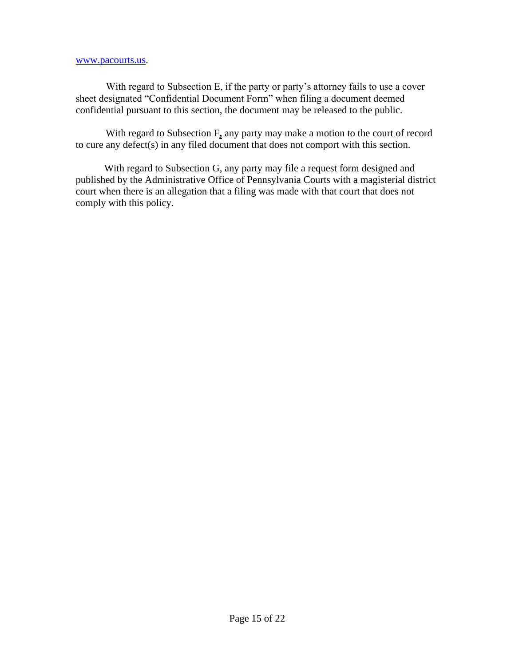#### [www.pacourts.us.](http://www.pacourts.us/)

With regard to Subsection E, if the party or party's attorney fails to use a cover sheet designated "Confidential Document Form" when filing a document deemed confidential pursuant to this section, the document may be released to the public.

With regard to Subsection F**,** any party may make a motion to the court of record to cure any defect(s) in any filed document that does not comport with this section.

With regard to Subsection G, any party may file a request form designed and published by the Administrative Office of Pennsylvania Courts with a magisterial district court when there is an allegation that a filing was made with that court that does not comply with this policy.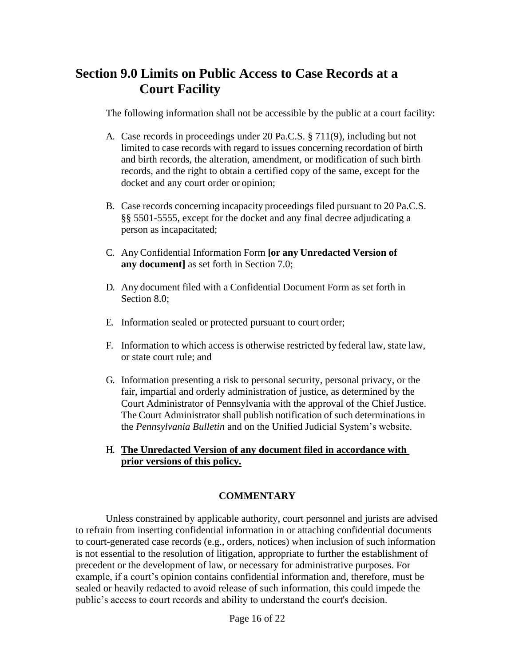### **Section 9.0 Limits on Public Access to Case Records at a Court Facility**

The following information shall not be accessible by the public at a court facility:

- A. Case records in proceedings under 20 Pa.C.S. § 711(9), including but not limited to case records with regard to issues concerning recordation of birth and birth records, the alteration, amendment, or modification of such birth records, and the right to obtain a certified copy of the same, except for the docket and any court order or opinion;
- B. Case records concerning incapacity proceedings filed pursuant to 20 Pa.C.S. §§ 5501-5555, except for the docket and any final decree adjudicating a person as incapacitated;
- C. Any Confidential Information Form **[or any Unredacted Version of any document]** as set forth in Section 7.0;
- D. Any document filed with a Confidential Document Form as set forth in Section 8.0;
- E. Information sealed or protected pursuant to court order;
- F. Information to which access is otherwise restricted by federal law, state law, or state court rule; and
- G. Information presenting a risk to personal security, personal privacy, or the fair, impartial and orderly administration of justice, as determined by the Court Administrator of Pennsylvania with the approval of the Chief Justice. The Court Administrator shall publish notification of such determinations in the *Pennsylvania Bulletin* and on the Unified Judicial System's website.

#### H. **The Unredacted Version of any document filed in accordance with prior versions of this policy.**

#### **COMMENTARY**

Unless constrained by applicable authority, court personnel and jurists are advised to refrain from inserting confidential information in or attaching confidential documents to court-generated case records (e.g., orders, notices) when inclusion of such information is not essential to the resolution of litigation, appropriate to further the establishment of precedent or the development of law, or necessary for administrative purposes. For example, if a court's opinion contains confidential information and, therefore, must be sealed or heavily redacted to avoid release of such information, this could impede the public's access to court records and ability to understand the court's decision.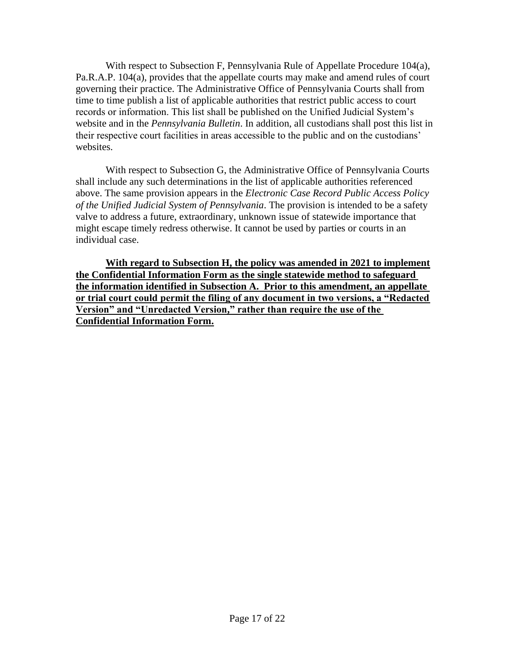With respect to Subsection F, Pennsylvania Rule of Appellate Procedure 104(a), Pa.R.A.P. 104(a), provides that the appellate courts may make and amend rules of court governing their practice. The Administrative Office of Pennsylvania Courts shall from time to time publish a list of applicable authorities that restrict public access to court records or information. This list shall be published on the Unified Judicial System's website and in the *Pennsylvania Bulletin*. In addition, all custodians shall post this list in their respective court facilities in areas accessible to the public and on the custodians' websites.

With respect to Subsection G, the Administrative Office of Pennsylvania Courts shall include any such determinations in the list of applicable authorities referenced above. The same provision appears in the *Electronic Case Record Public Access Policy of the Unified Judicial System of Pennsylvania*. The provision is intended to be a safety valve to address a future, extraordinary, unknown issue of statewide importance that might escape timely redress otherwise. It cannot be used by parties or courts in an individual case.

**With regard to Subsection H, the policy was amended in 2021 to implement the Confidential Information Form as the single statewide method to safeguard the information identified in Subsection A. Prior to this amendment, an appellate or trial court could permit the filing of any document in two versions, a "Redacted Version" and "Unredacted Version," rather than require the use of the Confidential Information Form.**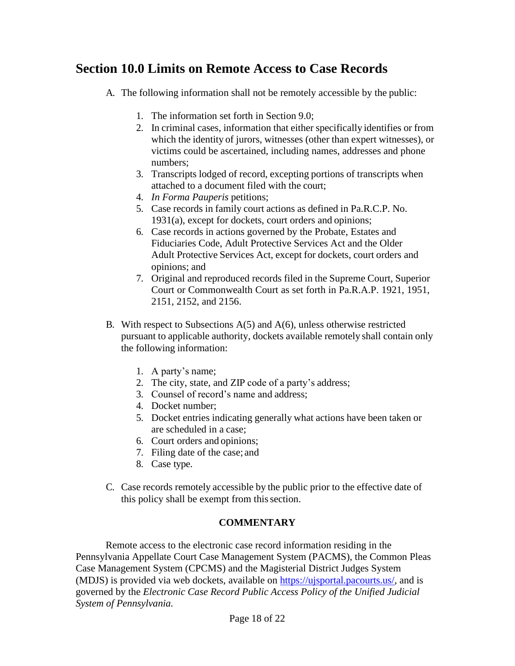### **Section 10.0 Limits on Remote Access to Case Records**

- A. The following information shall not be remotely accessible by the public:
	- 1. The information set forth in Section 9.0;
	- 2. In criminal cases, information that either specifically identifies or from which the identity of jurors, witnesses (other than expert witnesses), or victims could be ascertained, including names, addresses and phone numbers;
	- 3. Transcripts lodged of record, excepting portions of transcripts when attached to a document filed with the court;
	- 4. *In Forma Pauperis* petitions;
	- 5. Case records in family court actions as defined in Pa.R.C.P. No. 1931(a), except for dockets, court orders and opinions;
	- 6. Case records in actions governed by the Probate, Estates and Fiduciaries Code, Adult Protective Services Act and the Older Adult Protective Services Act, except for dockets, court orders and opinions; and
	- 7. Original and reproduced records filed in the Supreme Court, Superior Court or Commonwealth Court as set forth in Pa.R.A.P. 1921, 1951, 2151, 2152, and 2156.
- B. With respect to Subsections A(5) and A(6), unless otherwise restricted pursuant to applicable authority, dockets available remotely shall contain only the following information:
	- 1. A party's name;
	- 2. The city, state, and ZIP code of a party's address;
	- 3. Counsel of record's name and address;
	- 4. Docket number;
	- 5. Docket entries indicating generally what actions have been taken or are scheduled in a case;
	- 6. Court orders and opinions;
	- 7. Filing date of the case; and
	- 8. Case type.
- C. Case records remotely accessible by the public prior to the effective date of this policy shall be exempt from this section.

#### **COMMENTARY**

Remote access to the electronic case record information residing in the Pennsylvania Appellate Court Case Management System (PACMS), the Common Pleas Case Management System (CPCMS) and the Magisterial District Judges System (MDJS) is provided via web dockets, available on [https://ujsportal.pacourts.us/,](https://ujsportal.pacourts.us/) and is governed by the *Electronic Case Record Public Access Policy of the Unified Judicial System of Pennsylvania.*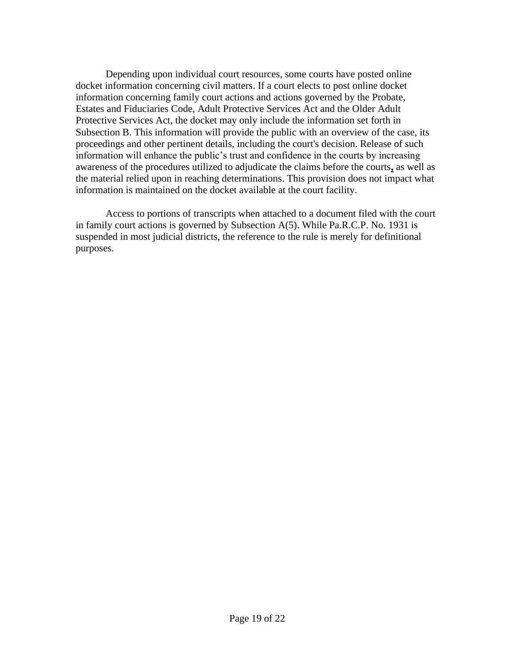Depending upon individual court resources, some courts have posted online docket information concerning civil matters. If a court elects to post online docket information concerning family court actions and actions governed by the Probate, Estates and Fiduciaries Code, Adult Protective Services Act and the Older Adult Protective Services Act, the docket may only include the information set forth in Subsection B. This information will provide the public with an overview of the case, its proceedings and other pertinent details, including the court's decision. Release of such information will enhance the public's trust and confidence in the courts by increasing awareness of the procedures utilized to adjudicate the claims before the courts**,** as well as the material relied upon in reaching determinations. This provision does not impact what information is maintained on the docket available at the court facility.

Access to portions of transcripts when attached to a document filed with the court in family court actions is governed by Subsection A(5). While Pa.R.C.P. No. 1931 is suspended in most judicial districts, the reference to the rule is merely for definitional purposes.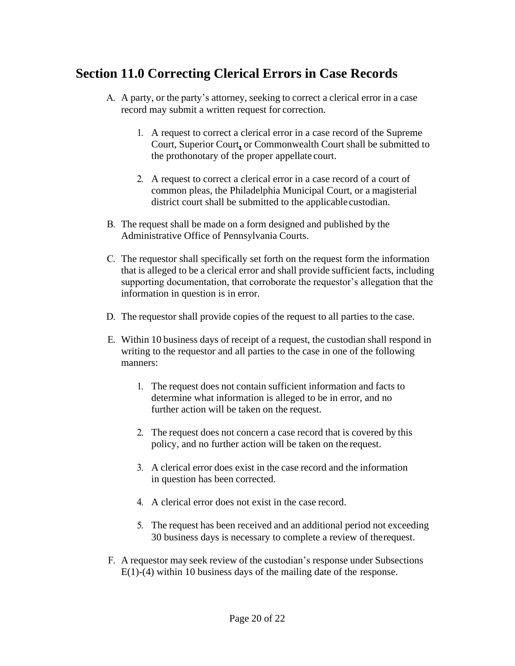## **Section 11.0 Correcting Clerical Errors in Case Records**

- A. A party, or the party's attorney, seeking to correct a clerical error in a case record may submit a written request for correction.
	- 1. A request to correct a clerical error in a case record of the Supreme Court, Superior Court**,** or Commonwealth Court shall be submitted to the prothonotary of the proper appellate court.
	- 2. A request to correct a clerical error in a case record of a court of common pleas, the Philadelphia Municipal Court, or a magisterial district court shall be submitted to the applicable custodian.
- B. The request shall be made on a form designed and published by the Administrative Office of Pennsylvania Courts.
- C. The requestor shall specifically set forth on the request form the information that is alleged to be a clerical error and shall provide sufficient facts, including supporting documentation, that corroborate the requestor's allegation that the information in question is in error.
- D. The requestor shall provide copies of the request to all parties to the case.
- E. Within 10 business days of receipt of a request, the custodian shall respond in writing to the requestor and all parties to the case in one of the following manners:
	- 1. The request does not contain sufficient information and facts to determine what information is alleged to be in error, and no further action will be taken on the request.
	- 2. The request does not concern a case record that is covered by this policy, and no further action will be taken on the request.
	- 3. A clerical error does exist in the case record and the information in question has been corrected.
	- 4. A clerical error does not exist in the case record.
	- 5. The request has been received and an additional period not exceeding 30 business days is necessary to complete a review of the request.
- F. A requestor may seek review of the custodian's response under Subsections E(1)-(4) within 10 business days of the mailing date of the response.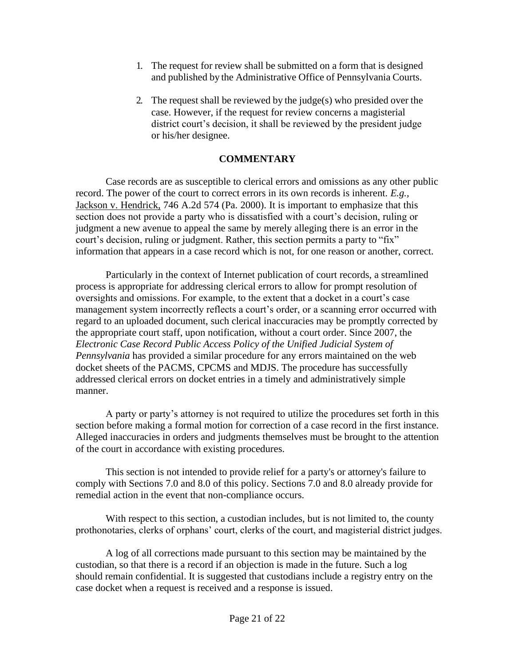- 1. The request for review shall be submitted on a form that is designed and published by the Administrative Office of Pennsylvania Courts.
- 2. The request shall be reviewed by the judge(s) who presided over the case. However, if the request for review concerns a magisterial district court's decision, it shall be reviewed by the president judge or his/her designee.

#### **COMMENTARY**

Case records are as susceptible to clerical errors and omissions as any other public record. The power of the court to correct errors in its own records is inherent. *E.g.,* Jackson v. Hendrick, 746 A.2d 574 (Pa. 2000). It is important to emphasize that this section does not provide a party who is dissatisfied with a court's decision, ruling or judgment a new avenue to appeal the same by merely alleging there is an error in the court's decision, ruling or judgment. Rather, this section permits a party to "fix" information that appears in a case record which is not, for one reason or another, correct.

Particularly in the context of Internet publication of court records, a streamlined process is appropriate for addressing clerical errors to allow for prompt resolution of oversights and omissions. For example, to the extent that a docket in a court's case management system incorrectly reflects a court's order, or a scanning error occurred with regard to an uploaded document, such clerical inaccuracies may be promptly corrected by the appropriate court staff, upon notification, without a court order. Since 2007, the *Electronic Case Record Public Access Policy of the Unified Judicial System of Pennsylvania* has provided a similar procedure for any errors maintained on the web docket sheets of the PACMS, CPCMS and MDJS. The procedure has successfully addressed clerical errors on docket entries in a timely and administratively simple manner.

A party or party's attorney is not required to utilize the procedures set forth in this section before making a formal motion for correction of a case record in the first instance. Alleged inaccuracies in orders and judgments themselves must be brought to the attention of the court in accordance with existing procedures.

This section is not intended to provide relief for a party's or attorney's failure to comply with Sections 7.0 and 8.0 of this policy. Sections 7.0 and 8.0 already provide for remedial action in the event that non-compliance occurs.

With respect to this section, a custodian includes, but is not limited to, the county prothonotaries, clerks of orphans' court, clerks of the court, and magisterial district judges.

A log of all corrections made pursuant to this section may be maintained by the custodian, so that there is a record if an objection is made in the future. Such a log should remain confidential. It is suggested that custodians include a registry entry on the case docket when a request is received and a response is issued.